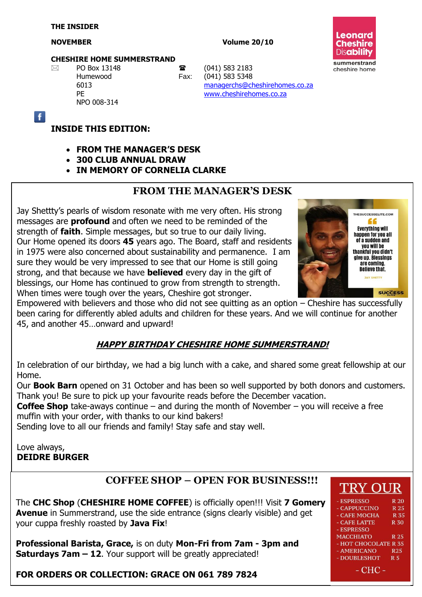$\mathbf{f}$ 

#### **NOVEMBER Volume 20/10**



#### **CHESHIRE HOME SUMMERSTRAND**

NPO 008-314

 $\boxtimes$  PO Box 13148 **a** (041) 583 2183 Humewood Fax: (041) 583 5348 6013 [managerchs@cheshirehomes.co.za](mailto:managerchs@cheshirehomes.co.za) PE [www.cheshirehomes.co.za](http://www.cheshirehomes.co.za/)

#### **INSIDE THIS EDITION:**

- **FROM THE MANAGER'S DESK**
- **300 CLUB ANNUAL DRAW**
- **IN MEMORY OF CORNELIA CLARKE**

#### **FROM THE MANAGER'S DESK**

Jay Shettty's pearls of wisdom resonate with me very often. His strong messages are **profound** and often we need to be reminded of the strength of **faith**. Simple messages, but so true to our daily living. Our Home opened its doors **45** years ago. The Board, staff and residents in 1975 were also concerned about sustainability and permanence. I am sure they would be very impressed to see that our Home is still going strong, and that because we have **believed** every day in the gift of blessings, our Home has continued to grow from strength to strength. When times were tough over the years, Cheshire got stronger.

THESUCCESSELITE.COM **Everything will** happen for you all of a sudden and **vou will be** thankful you didn't qive up. Blessings are coming **Believe that. JAY SHETTY SUCCESS** 

Empowered with believers and those who did not see quitting as an option – Cheshire has successfully been caring for differently abled adults and children for these years. And we will continue for another 45, and another 45…onward and upward!

#### **HAPPY BIRTHDAY CHESHIRE HOME SUMMERSTRAND!**

In celebration of our birthday, we had a big lunch with a cake, and shared some great fellowship at our Home.

Our **Book Barn** opened on 31 October and has been so well supported by both donors and customers. Thank you! Be sure to pick up your favourite reads before the December vacation.

**Coffee Shop** take-aways continue – and during the month of November – you will receive a free muffin with your order, with thanks to our kind bakers!

Sending love to all our friends and family! Stay safe and stay well.

Love always, **DEIDRE BURGER**

## **COFFEE SHOP – OPEN FOR BUSINESS!!!**

The **CHC Shop** (**CHESHIRE HOME COFFEE**) is officially open!!! Visit **7 Gomery Avenue** in Summerstrand, use the side entrance (signs clearly visible) and get your cuppa freshly roasted by **Java Fix**!

**Professional Barista, Grace,** is on duty **Mon-Fri from 7am - 3pm and Saturdays 7am – 12**. Your support will be greatly appreciated!

#### **FOR ORDERS OR COLLECTION: GRACE ON 061 789 7824**

| $\mathbf{111} \cap \mathbf{11}$ |                |
|---------------------------------|----------------|
| - ESPRESSO                      | R 20           |
| - CAPPUCCINO                    | R 25           |
| - CAFE MOCHA                    | R 35           |
| - CAFE LATTE                    | R 30           |
| - ESPRESSO                      |                |
| <b>MACCHIATO</b>                | R 25           |
| - HOT CHOCOLATE R 35            |                |
| - AMERICANO                     | <b>R25</b>     |
| - DOUBLESHOT                    | R <sub>5</sub> |
| - CHC -                         |                |

**TIDY OIID**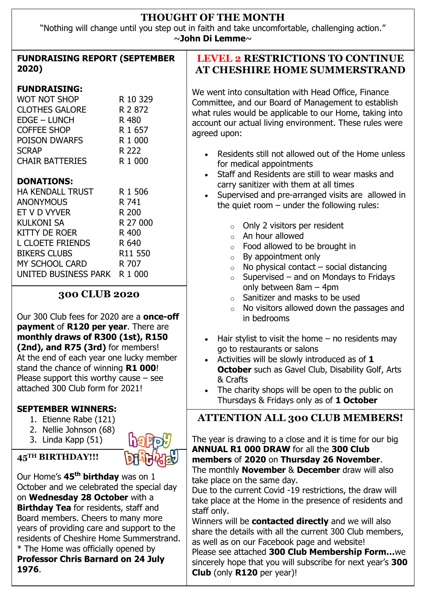## **THOUGHT OF THE MONTH**

"Nothing will change until you step out in faith and take uncomfortable, challenging action." ~**John Di Lemme**~

| <b>FUNDRAISING REPORT (SEPTEMBER</b><br>2020)                                                                                                                                                                                                                                                                                                                                                                                                                                                                             |                                                                                        | <b>LEVEL 2 RESTRICTIONS TO CONTINUE</b><br><b>AT CHESHIRE HOME SUMMERSTRAND</b>                                                                                                                                                                                                                                                                                                                                                                                                                                                                                                                                                                                                                                                                                |
|---------------------------------------------------------------------------------------------------------------------------------------------------------------------------------------------------------------------------------------------------------------------------------------------------------------------------------------------------------------------------------------------------------------------------------------------------------------------------------------------------------------------------|----------------------------------------------------------------------------------------|----------------------------------------------------------------------------------------------------------------------------------------------------------------------------------------------------------------------------------------------------------------------------------------------------------------------------------------------------------------------------------------------------------------------------------------------------------------------------------------------------------------------------------------------------------------------------------------------------------------------------------------------------------------------------------------------------------------------------------------------------------------|
| <b>FUNDRAISING:</b><br><b>WOT NOT SHOP</b><br><b>CLOTHES GALORE</b><br><b>EDGE - LUNCH</b><br><b>COFFEE SHOP</b><br>POISON DWARFS<br><b>SCRAP</b><br><b>CHAIR BATTERIES</b>                                                                                                                                                                                                                                                                                                                                               | R 10 329<br>R 2 872<br>R 480<br>R 1 657<br>R 1 000<br>R 222<br>R 1 000                 | We went into consultation with Head Office, Finance<br>Committee, and our Board of Management to establish<br>what rules would be applicable to our Home, taking into<br>account our actual living environment. These rules were<br>agreed upon:<br>Residents still not allowed out of the Home unless<br>$\bullet$<br>for medical appointments                                                                                                                                                                                                                                                                                                                                                                                                                |
| <b>DONATIONS:</b><br><b>HA KENDALL TRUST</b><br><b>ANONYMOUS</b><br>ET V D VYVER<br><b>KULKONI SA</b><br><b>KITTY DE ROER</b><br><b>L CLOETE FRIENDS</b><br><b>BIKERS CLUBS</b><br>MY SCHOOL CARD<br>UNITED BUSINESS PARK                                                                                                                                                                                                                                                                                                 | R 1 506<br>R 741<br>R 200<br>R 27 000<br>R 400<br>R 640<br>R11 550<br>R 707<br>R 1 000 | Staff and Residents are still to wear masks and<br>$\bullet$<br>carry sanitizer with them at all times<br>Supervised and pre-arranged visits are allowed in<br>$\bullet$<br>the quiet room $-$ under the following rules:<br>$\circ$ Only 2 visitors per resident<br>An hour allowed<br>$\circ$<br>Food allowed to be brought in<br>$\circ$<br>By appointment only<br>$\circ$<br>No physical contact - social distancing<br>$\circ$<br>Supervised – and on Mondays to Fridays<br>$\circ$                                                                                                                                                                                                                                                                       |
| <b>300 CLUB 2020</b><br>Our 300 Club fees for 2020 are a <b>once-off</b><br>payment of R120 per year. There are<br>monthly draws of R300 (1st), R150<br>(2nd), and R75 (3rd) for members!<br>At the end of each year one lucky member<br>stand the chance of winning R1 000!<br>Please support this worthy cause $-$ see<br>attached 300 Club form for 2021!<br><b>SEPTEMBER WINNERS:</b>                                                                                                                                 |                                                                                        | only between $8am - 4pm$<br>Sanitizer and masks to be used<br>$\circ$<br>No visitors allowed down the passages and<br>$\circ$<br>in bedrooms<br>Hair stylist to visit the home $-$ no residents may<br>$\bullet$<br>go to restaurants or salons<br>Activities will be slowly introduced as of 1<br><b>October</b> such as Gavel Club, Disability Golf, Arts<br>& Crafts<br>The charity shops will be open to the public on<br>$\bullet$<br>Thursdays & Fridays only as of 1 October                                                                                                                                                                                                                                                                            |
| 1. Etienne Rabe (121)<br>2. Nellie Johnson (68)<br>3. Linda Kapp (51)<br>45 <sup>TH</sup> BIRTHDAY!!!<br>Our Home's 45 <sup>th</sup> birthday was on 1<br>October and we celebrated the special day<br>on <b>Wednesday 28 October</b> with a<br><b>Birthday Tea</b> for residents, staff and<br>Board members. Cheers to many more<br>years of providing care and support to the<br>residents of Cheshire Home Summerstrand.<br>* The Home was officially opened by<br><b>Professor Chris Barnard on 24 July</b><br>1976. |                                                                                        | <b>ATTENTION ALL 300 CLUB MEMBERS!</b><br>The year is drawing to a close and it is time for our big<br><b>ANNUAL R1 000 DRAW</b> for all the 300 Club<br>members of 2020 on Thursday 26 November.<br>The monthly <b>November</b> & <b>December</b> draw will also<br>take place on the same day.<br>Due to the current Covid -19 restrictions, the draw will<br>take place at the Home in the presence of residents and<br>staff only.<br>Winners will be <b>contacted directly</b> and we will also<br>share the details with all the current 300 Club members,<br>as well as on our Facebook page and website!<br>Please see attached 300 Club Membership Formwe<br>sincerely hope that you will subscribe for next year's 300<br>Club (only R120 per year)! |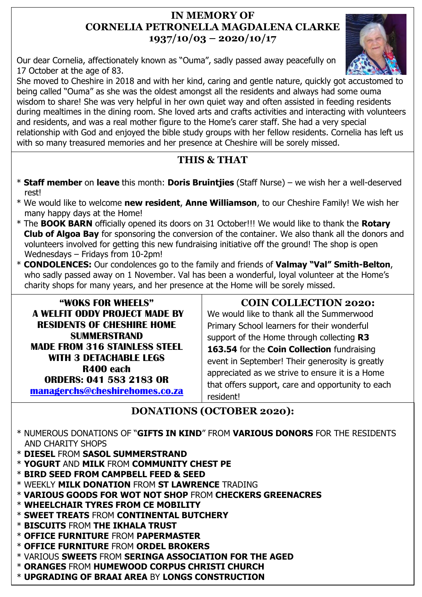## **IN MEMORY OF CORNELIA PETRONELLA MAGDALENA CLARKE 1937/10/03 – 2020/10/17**

Our dear Cornelia, affectionately known as "Ouma", sadly passed away peacefully on 17 October at the age of 83.

She moved to Cheshire in 2018 and with her kind, caring and gentle nature, quickly got accustomed to being called "Ouma" as she was the oldest amongst all the residents and always had some ouma wisdom to share! She was very helpful in her own quiet way and often assisted in feeding residents during mealtimes in the dining room. She loved arts and crafts activities and interacting with volunteers and residents, and was a real mother figure to the Home's carer staff. She had a very special relationship with God and enjoyed the bible study groups with her fellow residents. Cornelia has left us with so many treasured memories and her presence at Cheshire will be sorely missed.

# **THIS & THAT**

- \* **Staff member** on **leave** this month: **Doris Bruintjies** (Staff Nurse) we wish her a well-deserved rest!
- \* We would like to welcome **new resident**, **Anne Williamson**, to our Cheshire Family! We wish her many happy days at the Home!
- \* The **BOOK BARN** officially opened its doors on 31 October!!! We would like to thank the **Rotary Club of Algoa Bay** for sponsoring the conversion of the container. We also thank all the donors and volunteers involved for getting this new fundraising initiative off the ground! The shop is open Wednesdays – Fridays from 10-2pm!
- \* **CONDOLENCES:** Our condolences go to the family and friends of **Valmay "Val" Smith-Belton**, who sadly passed away on 1 November. Val has been a wonderful, loyal volunteer at the Home's charity shops for many years, and her presence at the Home will be sorely missed.

**"WOKS FOR WHEELS" A WELFIT ODDY PROJECT MADE BY RESIDENTS OF CHESHIRE HOME SUMMERSTRAND MADE FROM 316 STAINLESS STEEL WITH 3 DETACHABLE LEGS R400 each ORDERS: 041 583 2183 OR [managerchs@cheshirehomes.co.za](mailto:managerchs@cheshirehomes.co.za)**

# **COIN COLLECTION 2020:**

We would like to thank all the Summerwood Primary School learners for their wonderful support of the Home through collecting **R3 163.54** for the **Coin Collection** fundraising event in September! Their generosity is greatly appreciated as we strive to ensure it is a Home that offers support, care and opportunity to each resident!

# **DONATIONS (OCTOBER 2020):**

- \* NUMEROUS DONATIONS OF "**GIFTS IN KIND**" FROM **VARIOUS DONORS** FOR THE RESIDENTS AND CHARITY SHOPS
- \* **DIESEL** FROM **SASOL SUMMERSTRAND**
- \* **YOGURT** AND **MILK** FROM **COMMUNITY CHEST PE**
- \* **BIRD SEED FROM CAMPBELL FEED & SEED**
- \* WEEKLY **MILK DONATION** FROM **ST LAWRENCE** TRADING
- \* **VARIOUS GOODS FOR WOT NOT SHOP** FROM **CHECKERS GREENACRES**
- \* **WHEELCHAIR TYRES FROM CE MOBILITY**
- \* **SWEET TREATS** FROM **CONTINENTAL BUTCHERY**
- \* **BISCUITS** FROM **THE IKHALA TRUST**
- \* **OFFICE FURNITURE** FROM **PAPERMASTER**
- \* **OFFICE FURNITURE** FROM **ORDEL BROKERS**
- \* VARIOUS **SWEETS** FROM **SERINGA ASSOCIATION FOR THE AGED**
- \* **ORANGES** FROM **HUMEWOOD CORPUS CHRISTI CHURCH**
- \* **UPGRADING OF BRAAI AREA** BY **LONGS CONSTRUCTION**